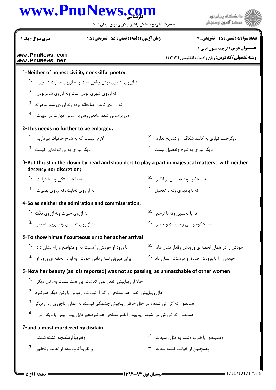## www.PnuNews.com

|                                                    | www.PnuNews.com<br>حضرت علی(ع): دانش راهبر نیکویی برای ایمان است                                | دانشگاه ييام نور<br>مركز آزمون وسنجش                                                               |
|----------------------------------------------------|-------------------------------------------------------------------------------------------------|----------------------------------------------------------------------------------------------------|
| سری سوال : یک ۱                                    | زمان آزمون (دقیقه) : تستی : 55٪ تشریحی: 45                                                      | <b>تعداد سوالات : تستي : 25 - تشريحي : 7</b>                                                       |
| www.PnuNews.com<br>www.PnuNews.net                 |                                                                                                 | <b>عنـــوان درس:</b> ترجمه متون ادبی ۱<br><b>رشته تحصیلی/کد درس:</b> زبان وادبیات انگلیسی ۱۲۱۲۱۳۴  |
|                                                    | 1-Neither of honest civility nor skilful poetry.                                                |                                                                                                    |
| 1.                                                 | نه ازروی شهری بودن واقعی است و نه ازروی مهارت شاعری                                             |                                                                                                    |
| نه ازروی شهری بودن است ونه ازروی شاعربودن . 2.     |                                                                                                 |                                                                                                    |
|                                                    | نه از روی تمدن صادقانه بوده ونه ازروی شعر ماهرانه 8.                                            |                                                                                                    |
|                                                    | هم براساس شعور واقعي وهم بر اساس مهارت در ادبيات 4.                                             |                                                                                                    |
| 2-This needs no further to be enlarged.            |                                                                                                 |                                                                                                    |
| لازم  نیست که به شرح جزئیات بیردازیم <b>1</b>      |                                                                                                 | دیگرجسد نیازی به کالبد شکافی  و تشریح ندارد <sup>2</sup> ۰                                         |
| دیگر نیازی به بزرگ نمایی نیست <sup>.3</sup>        |                                                                                                 | دیگر نیازی به شرح وتفصیل نیست <sup>4</sup> ۰                                                       |
| decency nor discretion;                            |                                                                                                 | 3-But thrust in the clown by head and shoulders to play a part in majestical matters, with neither |
| نه با شایستگی ونه با د <sub>د</sub> ایت <b>1</b> ۰ |                                                                                                 | نه با شکوه ونه تحسین بر انگیز ۔ .2                                                                 |
| نه از روی نجابت ونه ازروی بصیرت 3.                 |                                                                                                 | نه با بردباري ونه با تعجيل 4.                                                                      |
|                                                    | 4-So as neither the admiration and commiseration.                                               |                                                                                                    |
| نه ازروی حیرت ونه ازروی دقّت <b>1۰</b>             |                                                                                                 | نه با تحسين ونه با ترحم 2.                                                                         |
| نه از روی تحسین ونه ازروی تحقیر 3.                 |                                                                                                 | نه با شكوه وعالى ونه يست و حقير 4.                                                                 |
|                                                    | 5-To show himself courteous unto her at her arrival                                             |                                                                                                    |
|                                                    | با ورود او خودش را نسبت به او متواضع و رام نشان داد 1.                                          | خودش را در همان لحظه ی ورودش وفادار نشان داد <sup>. 2</sup> ۰                                      |
|                                                    | برای مهربان نشان دادن خودش به او در لحظه ی ورود او 3.                                           | خودش را با ورودش صادق و درستکار نشان داد 4.                                                        |
|                                                    | 6-Now her beauty (as it is reported) was not so passing, as unmatchable of other women          |                                                                                                    |
|                                                    | حالا از زیباییش آنقدر نمی گذشت، بی همتا نسبت به زنان دیگر <b>1</b>                              |                                                                                                    |
|                                                    | حال زيباييش آنقدر هم سطحي و گذرا نبود،قابل قياس با زنان ديگر هم نبود 2.                         |                                                                                                    |
|                                                    | همانطور که گزارش شده ، در حال حاظر زیباییش چشمگیر نیست، به همان  ناجوری زنان دیگر <sup>3.</sup> |                                                                                                    |
|                                                    | همانطور که گزارش می شود، زیباییش آنقدر سطحی هم نبود،غیر قابل پیش بینی با دیگر زنان 4.           |                                                                                                    |
| 7-and almost murdered by disdain.                  |                                                                                                 |                                                                                                    |
| وتقريباً ازشكنجه كشته شدند 1.                      |                                                                                                 | وهمينطور با ضرب وشتم به قتل رسيدند 2.                                                              |
| و تقريباً نابودشده از اهانت وتحقير 3.              |                                                                                                 | وهمچنین از خیانت کشته شدند <sup>4</sup> ۰                                                          |
|                                                    |                                                                                                 |                                                                                                    |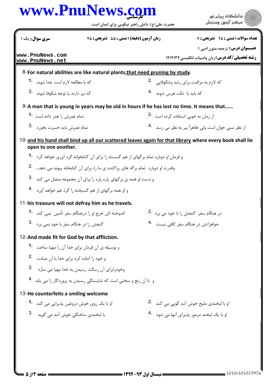|                                                                    | حضرت علی(ع): دانش راهبر نیکویی برای ایمان است                                                         |                                                    | مركز آزمون وسنجش                                                                                         |
|--------------------------------------------------------------------|-------------------------------------------------------------------------------------------------------|----------------------------------------------------|----------------------------------------------------------------------------------------------------------|
| سری سوال: یک ۱                                                     | زمان آزمون (دقيقه) : تستى : 55 ٪ تشريحي : 45                                                          |                                                    | <b>تعداد سوالات : تستي : 25 - تشريحي : 7</b>                                                             |
| www.PnuNews.com<br> www.PnuNews.net                                |                                                                                                       |                                                    | <b>عنـــوان درس:</b> ترجمه متون ادبی ۱<br><b>رشته تحصیلی/کد درس: زبان وادبیات انگلیسی ۱۲۱۲۱۳۴</b>        |
|                                                                    | 8-For natural abilities are like natural plants, that need pruning by study.                          |                                                    |                                                                                                          |
| كه با مطالعه لازم است جدا شوند <b>1</b>                            |                                                                                                       | که لازم به مراقبت برای رشد وشکوفایی . <sup>2</sup> |                                                                                                          |
| که نیز دارند با توجه شکوفا شوند 3.                                 |                                                                                                       | كه بايد با دقّت هرس شوند <sup>4</sup> ۰            |                                                                                                          |
|                                                                    | 9-A man that is young in years may be old in hours if he has lost no time. It means that              |                                                    |                                                                                                          |
| تمام عمرش را هدر داده است 1.                                       |                                                                                                       | از زمان به خوبی استفاده کرده است 2.                |                                                                                                          |
| تمام عمرش بايد حسرت بخورد 3.                                       |                                                                                                       |                                                    | از نظر سنی جوان است ولی ظاهراً پیر به نظر می , سد 4.                                                     |
| open to one another.                                               |                                                                                                       |                                                    | 10-and his hand shall bind up all our scattered leaves again for that library where every book shall lie |
|                                                                    | و فرمان او دوباره تمام بر <i>گ</i> های از هم گسسته را برای آن کتابخوانه گرد آوری خواهد کرد <b>1</b> ۰ |                                                    |                                                                                                          |
|                                                                    | وقدرت او دوباره تمام برگه های پراکنده ی ما را، برای آن کتابخانه پیوند می دهد .2                       |                                                    |                                                                                                          |
|                                                                    | و دست او همه ی برگهای پاره پاره را برای آن مجموعه متصل می کند $\cdot$ 3.                              |                                                    |                                                                                                          |
|                                                                    | و او همه برگهای از هم گسیخته را گرد هم خواهد آورد 4.                                                  |                                                    |                                                                                                          |
|                                                                    | 11-his treasure will not defray him as he travels.                                                    |                                                    |                                                                                                          |
|                                                                    | اندوخته اش خرج او را درهنگام سفر تأمین  نمی کند <b>1</b>                                              | در هنگام سفر گنجش را با خود می برد 2.              |                                                                                                          |
| گنجش را در هنگام سفر با خود نمی برد 3.                             |                                                                                                       | جواهراتش در هنگام سفر کافی نیست 4.                 |                                                                                                          |
| 12-And made fit for God by that affliction.                        |                                                                                                       |                                                    |                                                                                                          |
|                                                                    | و بوسیله ی آن فرمان برای خدا آن ,ا مهیا ساخت <b>1۰</b>                                                |                                                    |                                                                                                          |
| و خود را آماده كرد براي خدا با آ <sub>ن</sub> عبادت <sup>2</sup> ۰ |                                                                                                       |                                                    |                                                                                                          |
|                                                                    | 3. وخودرابراي آن رسالت رسيدن به خدا مهيا مي سازد                                                      |                                                    |                                                                                                          |
|                                                                    | و با آن رنج و سختی است که شایستگی رسیدن به پروردگار را می پابد <sup>4</sup> ۰                         |                                                    |                                                                                                          |
| 13-He counterfeits a smiling welcome                               |                                                                                                       |                                                    |                                                                                                          |
| او با یک روی خوش دروغین پذیرایی می کند <b>1</b> ۰                  |                                                                                                       |                                                    | او با لبخندي مليح خوش آمد گويي مي كند <sup>2</sup> .                                                     |
| با لبخندی ساختگی خوش آمد مے <sub>،</sub> گوند ۔ 3                  |                                                                                                       |                                                    | او با یک لبخند مرموز پذیرای آنها می شود <sup>4</sup> ۰                                                   |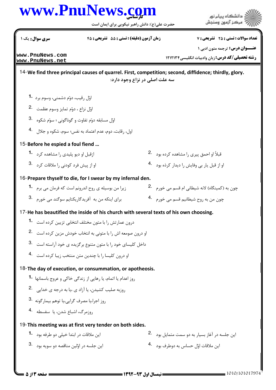## كارشناسي **[www.PnuNews.com](http://www.PnuNews.com)**

حضرت علي(ع): دانش راهبر نيكويي براي ايمان است



د<br>د انشڪاه پيام نور<br>7- مرڪز آزمون وسنڊش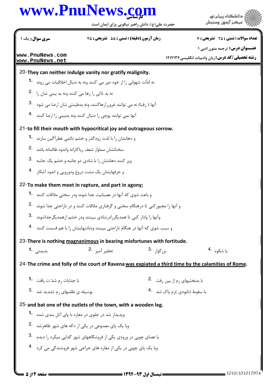## كارشناسي **[www.PnuNews.com](http://www.PnuNews.com)**